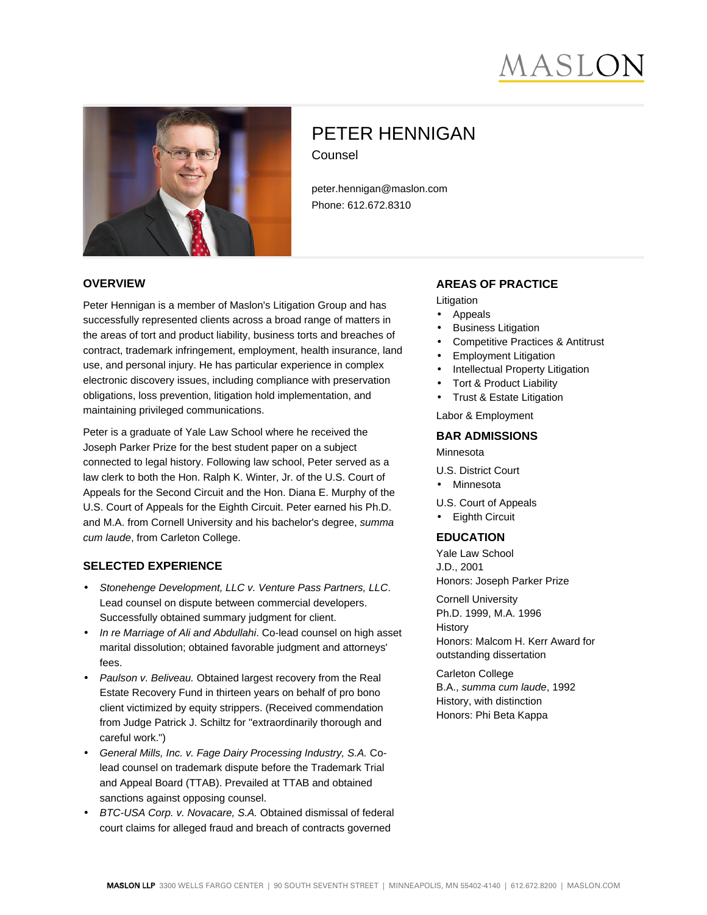# **IASLC**



# PETER HENNIGAN Counsel

peter.hennigan@maslon.com Phone: 612.672.8310

#### **OVERVIEW**

Peter Hennigan is a member of Maslon's Litigation Group and has successfully represented clients across a broad range of matters in the areas of tort and product liability, business torts and breaches of contract, trademark infringement, employment, health insurance, land use, and personal injury. He has particular experience in complex electronic discovery issues, including compliance with preservation obligations, loss prevention, litigation hold implementation, and maintaining privileged communications.

Peter is a graduate of Yale Law School where he received the Joseph Parker Prize for the best student paper on a subject connected to legal history. Following law school, Peter served as a law clerk to both the Hon. Ralph K. Winter, Jr. of the U.S. Court of Appeals for the Second Circuit and the Hon. Diana E. Murphy of the U.S. Court of Appeals for the Eighth Circuit. Peter earned his Ph.D. and M.A. from Cornell University and his bachelor's degree, summa cum laude, from Carleton College.

#### **SELECTED EXPERIENCE**

- Stonehenge Development, LLC v. Venture Pass Partners, LLC. Lead counsel on dispute between commercial developers. Successfully obtained summary judgment for client.
- In re Marriage of Ali and Abdullahi. Co-lead counsel on high asset marital dissolution; obtained favorable judgment and attorneys' fees.
- Paulson v. Beliveau. Obtained largest recovery from the Real Estate Recovery Fund in thirteen years on behalf of pro bono client victimized by equity strippers. (Received commendation from Judge Patrick J. Schiltz for "extraordinarily thorough and careful work.")
- General Mills, Inc. v. Fage Dairy Processing Industry, S.A. Colead counsel on trademark dispute before the Trademark Trial and Appeal Board (TTAB). Prevailed at TTAB and obtained sanctions against opposing counsel.
- BTC-USA Corp. v. Novacare, S.A. Obtained dismissal of federal court claims for alleged fraud and breach of contracts governed

#### **AREAS OF PRACTICE**

Litigation

- Appeals
- **Business Litigation**
- Competitive Practices & Antitrust
- Employment Litigation
- Intellectual Property Litigation
- Tort & Product Liability
- Trust & Estate Litigation

Labor & Employment

#### **BAR ADMISSIONS**

Minnesota

U.S. District Court

• Minnesota

U.S. Court of Appeals

• Eighth Circuit

## **EDUCATION**

Yale Law School J.D., 2001 Honors: Joseph Parker Prize

Cornell University Ph.D. 1999, M.A. 1996 **History** Honors: Malcom H. Kerr Award for outstanding dissertation

Carleton College B.A., summa cum laude, 1992 History, with distinction Honors: Phi Beta Kappa